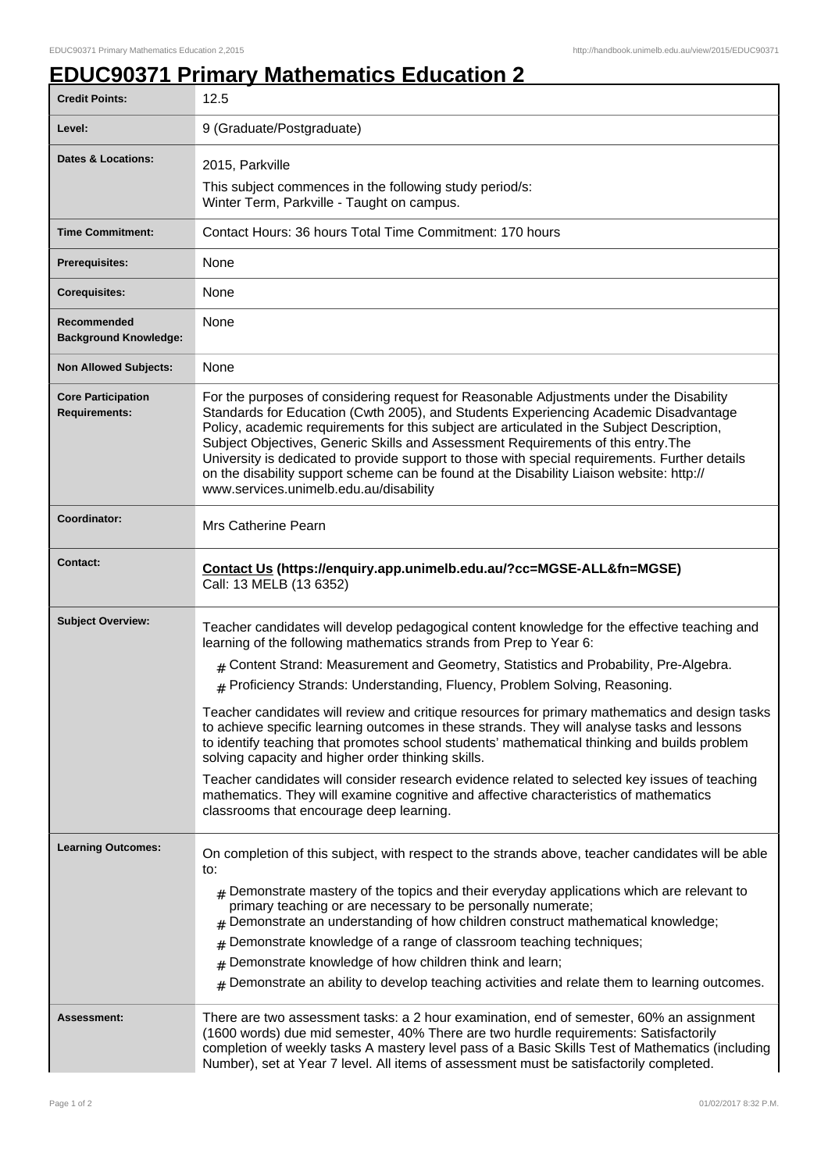## **EDUC90371 Primary Mathematics Education 2**

| <b>Credit Points:</b>                             | 12.5                                                                                                                                                                                                                                                                                                                                                                                                                                                                                                                                                                                                       |
|---------------------------------------------------|------------------------------------------------------------------------------------------------------------------------------------------------------------------------------------------------------------------------------------------------------------------------------------------------------------------------------------------------------------------------------------------------------------------------------------------------------------------------------------------------------------------------------------------------------------------------------------------------------------|
| Level:                                            | 9 (Graduate/Postgraduate)                                                                                                                                                                                                                                                                                                                                                                                                                                                                                                                                                                                  |
| Dates & Locations:                                | 2015, Parkville                                                                                                                                                                                                                                                                                                                                                                                                                                                                                                                                                                                            |
|                                                   | This subject commences in the following study period/s:<br>Winter Term, Parkville - Taught on campus.                                                                                                                                                                                                                                                                                                                                                                                                                                                                                                      |
| <b>Time Commitment:</b>                           | Contact Hours: 36 hours Total Time Commitment: 170 hours                                                                                                                                                                                                                                                                                                                                                                                                                                                                                                                                                   |
| <b>Prerequisites:</b>                             | None                                                                                                                                                                                                                                                                                                                                                                                                                                                                                                                                                                                                       |
| <b>Corequisites:</b>                              | None                                                                                                                                                                                                                                                                                                                                                                                                                                                                                                                                                                                                       |
| Recommended<br><b>Background Knowledge:</b>       | None                                                                                                                                                                                                                                                                                                                                                                                                                                                                                                                                                                                                       |
| <b>Non Allowed Subjects:</b>                      | None                                                                                                                                                                                                                                                                                                                                                                                                                                                                                                                                                                                                       |
| <b>Core Participation</b><br><b>Requirements:</b> | For the purposes of considering request for Reasonable Adjustments under the Disability<br>Standards for Education (Cwth 2005), and Students Experiencing Academic Disadvantage<br>Policy, academic requirements for this subject are articulated in the Subject Description,<br>Subject Objectives, Generic Skills and Assessment Requirements of this entry. The<br>University is dedicated to provide support to those with special requirements. Further details<br>on the disability support scheme can be found at the Disability Liaison website: http://<br>www.services.unimelb.edu.au/disability |
| Coordinator:                                      | Mrs Catherine Pearn                                                                                                                                                                                                                                                                                                                                                                                                                                                                                                                                                                                        |
| <b>Contact:</b>                                   | Contact Us (https://enquiry.app.unimelb.edu.au/?cc=MGSE-ALL&fn=MGSE)<br>Call: 13 MELB (13 6352)                                                                                                                                                                                                                                                                                                                                                                                                                                                                                                            |
| <b>Subject Overview:</b>                          | Teacher candidates will develop pedagogical content knowledge for the effective teaching and<br>learning of the following mathematics strands from Prep to Year 6:                                                                                                                                                                                                                                                                                                                                                                                                                                         |
|                                                   | # Content Strand: Measurement and Geometry, Statistics and Probability, Pre-Algebra.                                                                                                                                                                                                                                                                                                                                                                                                                                                                                                                       |
|                                                   | # Proficiency Strands: Understanding, Fluency, Problem Solving, Reasoning.                                                                                                                                                                                                                                                                                                                                                                                                                                                                                                                                 |
|                                                   | Teacher candidates will review and critique resources for primary mathematics and design tasks<br>to achieve specific learning outcomes in these strands. They will analyse tasks and lessons<br>to identify teaching that promotes school students' mathematical thinking and builds problem<br>solving capacity and higher order thinking skills.                                                                                                                                                                                                                                                        |
|                                                   | Teacher candidates will consider research evidence related to selected key issues of teaching<br>mathematics. They will examine cognitive and affective characteristics of mathematics<br>classrooms that encourage deep learning.                                                                                                                                                                                                                                                                                                                                                                         |
| <b>Learning Outcomes:</b>                         | On completion of this subject, with respect to the strands above, teacher candidates will be able<br>to:                                                                                                                                                                                                                                                                                                                                                                                                                                                                                                   |
|                                                   | $#$ Demonstrate mastery of the topics and their everyday applications which are relevant to<br>primary teaching or are necessary to be personally numerate;<br>Demonstrate an understanding of how children construct mathematical knowledge;                                                                                                                                                                                                                                                                                                                                                              |
|                                                   | Demonstrate knowledge of a range of classroom teaching techniques;<br>#                                                                                                                                                                                                                                                                                                                                                                                                                                                                                                                                    |
|                                                   | Demonstrate knowledge of how children think and learn;<br>#                                                                                                                                                                                                                                                                                                                                                                                                                                                                                                                                                |
|                                                   | Demonstrate an ability to develop teaching activities and relate them to learning outcomes.<br>#                                                                                                                                                                                                                                                                                                                                                                                                                                                                                                           |
| Assessment:                                       | There are two assessment tasks: a 2 hour examination, end of semester, 60% an assignment<br>(1600 words) due mid semester, 40% There are two hurdle requirements: Satisfactorily<br>completion of weekly tasks A mastery level pass of a Basic Skills Test of Mathematics (including<br>Number), set at Year 7 level. All items of assessment must be satisfactorily completed.                                                                                                                                                                                                                            |